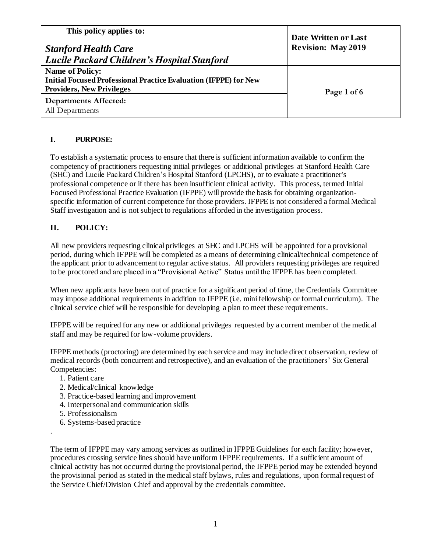| This policy applies to:<br><b>Stanford Health Care</b><br>  Lucile Packard Children's Hospital Stanford                               | Date Written or Last<br><b>Revision: May 2019</b> |
|---------------------------------------------------------------------------------------------------------------------------------------|---------------------------------------------------|
| <b>Name of Policy:</b><br><b>Initial Focused Professional Practice Evaluation (IFPPE) for New</b><br><b>Providers, New Privileges</b> | Page 1 of 6                                       |
| Departments Affected:<br>All Departments                                                                                              |                                                   |

# **I. PURPOSE:**

To establish a systematic process to ensure that there is sufficient information available to confirm the competency of practitioners requesting initial privileges or additional privileges at Stanford Health Care (SHC) and Lucile Packard Children's Hospital Stanford (LPCHS), or to evaluate a practitioner's professional competence or if there has been insufficient clinical activity. This process, termed Initial Focused Professional Practice Evaluation (IFPPE) will provide the basis for obtaining organizationspecific information of current competence for those providers. IFPPE is not considered a formal Medical Staff investigation and is not subject to regulations afforded in the investigation process.

# **II. POLICY:**

All new providers requesting clinical privileges at SHC and LPCHS will be appointed for a provisional period, during which IFPPE will be completed as a means of determining clinical/technical competence of the applicant prior to advancement to regular active status. All providers requesting privileges are required to be proctored and are placed in a "Provisional Active" Status until the IFPPE has been completed.

When new applicants have been out of practice for a significant period of time, the Credentials Committee may impose additional requirements in addition to IFPPE (i.e. mini fellowship or formal curriculum). The clinical service chief will be responsible for developing a plan to meet these requirements.

IFPPE will be required for any new or additional privileges requested by a current member of the medical staff and may be required for low-volume providers.

IFPPE methods (proctoring) are determined by each service and may include direct observation, review of medical records (both concurrent and retrospective), and an evaluation of the practitioners' Six General Competencies:

- 1. Patient care
- 2. Medical/clinical knowledge
- 3. Practice-based learning and improvement
- 4. Interpersonal and communication skills
- 5. Professionalism

.

6. Systems-based practice

The term of IFPPE may vary among services as outlined in IFPPE Guidelines for each facility; however, procedures crossing service lines should have uniform IFPPE requirements. If a sufficient amount of clinical activity has not occurred during the provisional period, the IFPPE period may be extended beyond the provisional period as stated in the medical staff bylaws, rules and regulations, upon formal request of the Service Chief/Division Chief and approval by the credentials committee.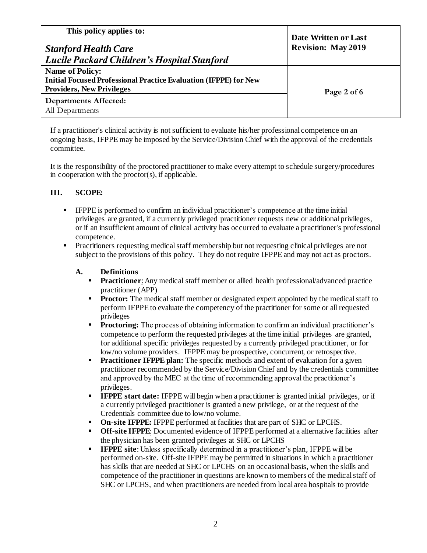| This policy applies to:<br><b>Stanford Health Care</b><br>Lucile Packard Children's Hospital Stanford                                 | Date Written or Last<br><b>Revision: May 2019</b> |
|---------------------------------------------------------------------------------------------------------------------------------------|---------------------------------------------------|
| <b>Name of Policy:</b><br><b>Initial Focused Professional Practice Evaluation (IFPPE) for New</b><br><b>Providers, New Privileges</b> | Page 2 of 6                                       |
| <b>Departments Affected:</b><br>All Departments                                                                                       |                                                   |

If a practitioner's clinical activity is not sufficient to evaluate his/her professional competence on an ongoing basis, IFPPE may be imposed by the Service/Division Chief with the approval of the credentials committee.

It is the responsibility of the proctored practitioner to make every attempt to schedule surgery/procedures in cooperation with the proctor(s), if applicable.

## **III. SCOPE:**

- IFPPE is performed to confirm an individual practitioner's competence at the time initial privileges are granted, if a currently privileged practitioner requests new or additional privileges, or if an insufficient amount of clinical activity has occurred to evaluate a practitioner's professional competence.
- **•** Practitioners requesting medical staff membership but not requesting clinical privileges are not subject to the provisions of this policy. They do not require IFPPE and may not act as proctors.

## **A. Definitions**

- **Practitioner:** Any medical staff member or allied health professional/advanced practice practitioner (APP)
- **Proctor:** The medical staff member or designated expert appointed by the medical staff to perform IFPPE to evaluate the competency of the practitioner for some or all requested privileges
- **Proctoring:** The process of obtaining information to confirm an individual practitioner's competence to perform the requested privileges at the time initial privileges are granted, for additional specific privileges requested by a currently privileged practitioner, or for low/no volume providers. IFPPE may be prospective, concurrent, or retrospective.
- **Practitioner IFPPE plan:** The specific methods and extent of evaluation for a given practitioner recommended by the Service/Division Chief and by the credentials committee and approved by the MEC at the time of recommending approval the practitioner's privileges.
- **IFPPE start date:** IFPPE will begin when a practitioner is granted initial privileges, or if a currently privileged practitioner is granted a new privilege, or at the request of the Credentials committee due to low/no volume.
- **On-site IFPPE:** IFPPE performed at facilities that are part of SHC or LPCHS.
- **Off-site IFPPE:** Documented evidence of IFPPE performed at a alternative facilities after the physician has been granted privileges at SHC or LPCHS
- **IFPPE site**: Unless specifically determined in a practitioner's plan, IFPPE will be performed on-site. Off-site IFPPE may be permitted in situations in which a practitioner has skills that are needed at SHC or LPCHS on an occasional basis, when the skills and competence of the practitioner in questions are known to members of the medical staff of SHC or LPCHS, and when practitioners are needed from local area hospitals to provide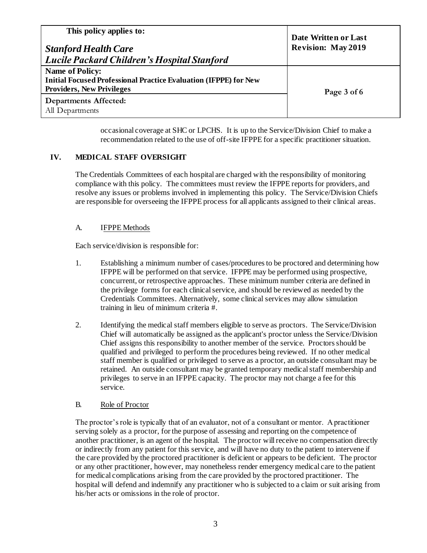| This policy applies to:<br><b>Stanford Health Care</b><br>Lucile Packard Children's Hospital Stanford                                 | Date Written or Last<br><b>Revision: May 2019</b> |
|---------------------------------------------------------------------------------------------------------------------------------------|---------------------------------------------------|
| <b>Name of Policy:</b><br><b>Initial Focused Professional Practice Evaluation (IFPPE) for New</b><br><b>Providers, New Privileges</b> | Page 3 of 6                                       |
| <b>Departments Affected:</b><br>All Departments                                                                                       |                                                   |

occasional coverage at SHC or LPCHS. It is up to the Service/Division Chief to make a recommendation related to the use of off-site IFPPE for a specific practitioner situation.

# **IV. MEDICAL STAFF OVERSIGHT**

The Credentials Committees of each hospital are charged with the responsibility of monitoring compliance with this policy. The committees must review the IFPPE reports for providers, and resolve any issues or problems involved in implementing this policy. The Service/Division Chiefs are responsible for overseeing the IFPPE process for all applicants assigned to their clinical areas.

### A. IFPPE Methods

Each service/division is responsible for:

- 1. Establishing a minimum number of cases/procedures to be proctored and determining how IFPPE will be performed on that service. IFPPE may be performed using prospective, concurrent, or retrospective approaches. These minimum number criteria are defined in the privilege forms for each clinical service, and should be reviewed as needed by the Credentials Committees. Alternatively, some clinical services may allow simulation training in lieu of minimum criteria #.
- 2. Identifying the medical staff members eligible to serve as proctors. The Service/Division Chief will automatically be assigned as the applicant's proctor unless the Service/Division Chief assigns this responsibility to another member of the service. Proctors should be qualified and privileged to perform the procedures being reviewed. If no other medical staff member is qualified or privileged to serve as a proctor, an outside consultant may be retained. An outside consultant may be granted temporary medical staff membership and privileges to serve in an IFPPE capacity. The proctor may not charge a fee for this service.

### B. Role of Proctor

The proctor's role is typically that of an evaluator, not of a consultant or mentor. A practitioner serving solely as a proctor, for the purpose of assessing and reporting on the competence of another practitioner, is an agent of the hospital. The proctor willreceive no compensation directly or indirectly from any patient for this service, and will have no duty to the patient to intervene if the care provided by the proctored practitioner is deficient or appears to be deficient. The proctor or any other practitioner, however, may nonetheless render emergency medical care to the patient for medical complications arising from the care provided by the proctored practitioner. The hospital will defend and indemnify any practitioner who is subjected to a claim or suit arising from his/her acts or omissions in the role of proctor.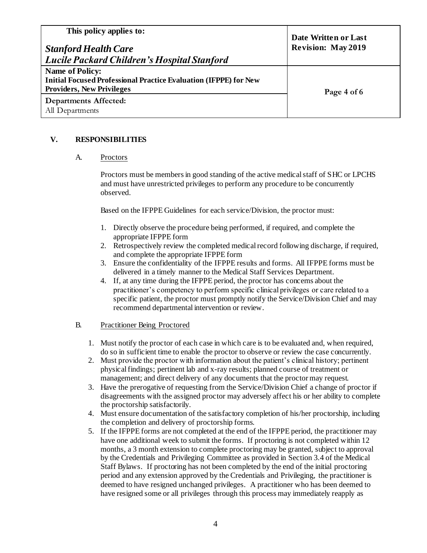| This policy applies to:<br><b>Stanford Health Care</b><br>  Lucile Packard Children's Hospital Stanford                               | Date Written or Last<br><b>Revision: May 2019</b> |
|---------------------------------------------------------------------------------------------------------------------------------------|---------------------------------------------------|
| <b>Name of Policy:</b><br><b>Initial Focused Professional Practice Evaluation (IFPPE) for New</b><br><b>Providers, New Privileges</b> | Page 4 of 6                                       |
| Departments Affected:<br>All Departments                                                                                              |                                                   |

# **V. RESPONSIBILITIES**

### A. Proctors

Proctors must be members in good standing of the active medical staff of SHC or LPCHS and must have unrestricted privileges to perform any procedure to be concurrently observed.

Based on the IFPPE Guidelines for each service/Division, the proctor must:

- 1. Directly observe the procedure being performed, if required, and complete the appropriate IFPPE form
- 2. Retrospectively review the completed medical record following discharge, if required, and complete the appropriate IFPPE form
- 3. Ensure the confidentiality of the IFPPE results and forms. All IFPPE forms must be delivered in a timely manner to the Medical Staff Services Department.
- 4. If, at any time during the IFPPE period, the proctor has concerns about the practitioner's competency to perform specific clinical privileges or care related to a specific patient, the proctor must promptly notify the Service/Division Chief and may recommend departmental intervention or review.

### B. Practitioner Being Proctored

- 1. Must notify the proctor of each case in which care is to be evaluated and, when required, do so in sufficient time to enable the proctor to observe or review the case concurrently.
- 2. Must provide the proctor with information about the patient's clinical history; pertinent physical findings; pertinent lab and x-ray results; planned course of treatment or management; and direct delivery of any documents that the proctor may request.
- 3. Have the prerogative of requesting from the Service/Division Chief a change of proctor if disagreements with the assigned proctor may adversely affect his or her ability to complete the proctorship satisfactorily.
- 4. Must ensure documentation of the satisfactory completion of his/her proctorship, including the completion and delivery of proctorship forms.
- 5. If the IFPPE forms are not completed at the end of the IFPPE period, the practitioner may have one additional week to submit the forms. If proctoring is not completed within 12 months, a 3 month extension to complete proctoring may be granted, subject to approval by the Credentials and Privileging Committee as provided in Section 3.4 of the Medical Staff Bylaws. If proctoring has not been completed by the end of the initial proctoring period and any extension approved by the Credentials and Privileging, the practitioner is deemed to have resigned unchanged privileges. A practitioner who has been deemed to have resigned some or all privileges through this process may immediately reapply as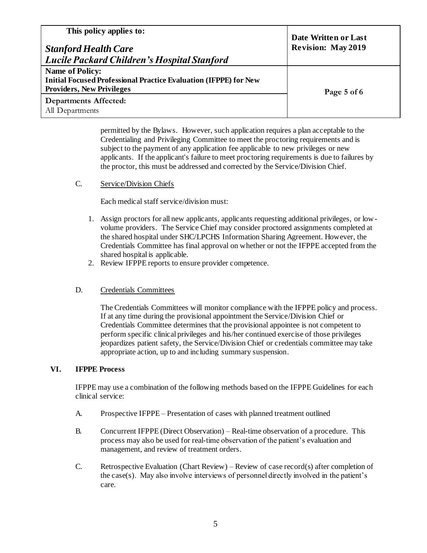| This policy applies to:<br><b>Stanford Health Care</b><br>  Lucile Packard Children's Hospital Stanford                               | Date Written or Last<br><b>Revision: May 2019</b> |
|---------------------------------------------------------------------------------------------------------------------------------------|---------------------------------------------------|
| <b>Name of Policy:</b><br><b>Initial Focused Professional Practice Evaluation (IFPPE) for New</b><br><b>Providers, New Privileges</b> | Page 5 of 6                                       |
| Departments Affected:<br>All Departments                                                                                              |                                                   |

permitted by the Bylaws. However, such application requires a plan acceptable to the Credentialing and Privileging Committee to meet the proctoring requirements and is subject to the payment of any application fee applicable to new privileges or new applicants. If the applicant's failure to meet proctoring requirements is due to failures by the proctor, this must be addressed and corrected by the Service/Division Chief.

## C. Service/Division Chiefs

Each medical staff service/division must:

- 1. Assign proctors for all new applicants, applicants requesting additional privileges, or lowvolume providers. The Service Chief may consider proctored assignments completed at the shared hospital under SHC/LPCHS Information Sharing Agreement. However, the Credentials Committee has final approval on whether or not the IFPPE accepted from the shared hospital is applicable.
- 2. Review IFPPE reports to ensure provider competence.

### D. Credentials Committees

The Credentials Committees will monitor compliance with the IFPPE policy and process. If at any time during the provisional appointment the Service/Division Chief or Credentials Committee determines that the provisional appointee is not competent to perform specific clinical privileges and his/her continued exercise of those privileges jeopardizes patient safety, the Service/Division Chief or credentials committee may take appropriate action, up to and including summary suspension.

### **VI. IFPPE Process**

IFPPE may use a combination of the following methods based on the IFPPE Guidelines for each clinical service:

- A. Prospective IFPPE Presentation of cases with planned treatment outlined
- B. Concurrent IFPPE (Direct Observation) Real-time observation of a procedure. This process may also be used for real-time observation of the patient's evaluation and management, and review of treatment orders.
- C. Retrospective Evaluation (Chart Review) Review of case record(s) after completion of the case(s). May also involve interviews of personnel directly involved in the patient's care.